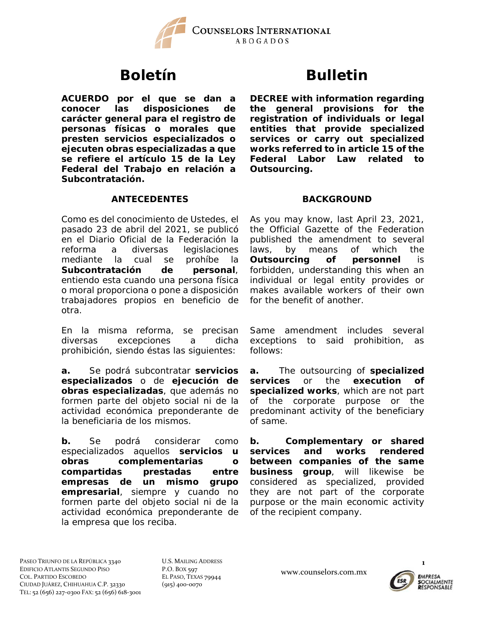

**ACUERDO por el que se dan a conocer las disposiciones de carácter general para el registro de personas físicas o morales que presten servicios especializados o ejecuten obras especializadas a que se refiere el artículo 15 de la Ley Federal del Trabajo en relación a Subcontratación.**

# **Boletín Bulletin**

**DECREE with information regarding the general provisions for the registration of individuals or legal entities that provide specialized services or carry out specialized works referred to in article 15 of the Federal Labor Law related to Outsourcing.**

# **ANTECEDENTES BACKGROUND**

Como es del conocimiento de Ustedes, el pasado 23 de abril del 2021, se publicó en el Diario Oficial de la Federación la reforma a diversas legislaciones mediante la cual se prohíbe la **Subcontratación de personal**, entiendo esta cuando una persona física o moral proporciona o pone a disposición trabajadores propios en beneficio de otra.

En la misma reforma, se precisan diversas excepciones a dicha prohibición, siendo éstas las siguientes:

**a.** Se podrá subcontratar **servicios especializados** o de **ejecución de obras especializadas**, que además no formen parte del objeto social ni de la actividad económica preponderante de la beneficiaria de los mismos.

**b.** Se podrá considerar como especializados aquellos **servicios u obras complementarias o compartidas prestadas entre empresas de un mismo grupo empresarial**, siempre y cuando no formen parte del objeto social ni de la actividad económica preponderante de la empresa que los reciba.

As you may know, last April 23, 2021, the Official Gazette of the Federation published the amendment to several laws, by means of which the **Outsourcing of personnel** is forbidden, understanding this when an individual or legal entity provides or makes available workers of their own for the benefit of another.

Same amendment includes several exceptions to said prohibition, as follows:

**a.** The outsourcing of **specialized services** or the **execution of specialized works**, which are not part of the corporate purpose or the predominant activity of the beneficiary of same.

**b. Complementary or shared services and works rendered between companies of the same business group**, will likewise be considered as specialized, provided they are not part of the corporate purpose or the main economic activity of the recipient company.

PASEO TRIUNFO DE LA REPÚBLICA 3340 EDIFICIO ATLANTIS SEGUNDO PISO COL. PARTIDO ESCOBEDO CIUDAD JUÁREZ, CHIHUAHUA C.P. 32330 TEL: 52 (656) 227‐0300 FAX: 52 (656) 618‐3001 U.S. MAILING ADDRESS P.O. BOX 597 EL PASO, TEXAS 79944 (915) 400‐0070

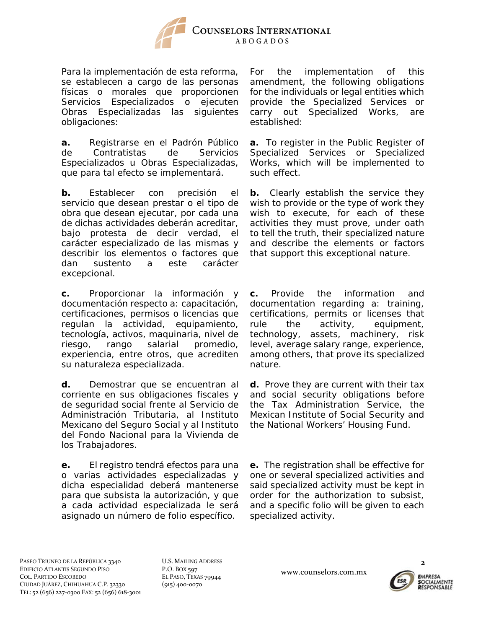

Para la implementación de esta reforma, se establecen a cargo de las personas físicas o morales que proporcionen Servicios Especializados o ejecuten Obras Especializadas las siguientes obligaciones:

**a.** Registrarse en el Padrón Público de Contratistas de Servicios Especializados u Obras Especializadas, que para tal efecto se implementará.

**b.** Establecer con precisión el servicio que desean prestar o el tipo de obra que desean ejecutar, por cada una de dichas actividades deberán acreditar, bajo protesta de decir verdad, el carácter especializado de las mismas y describir los elementos o factores que dan sustento a este carácter excepcional.

**c.** Proporcionar la información y documentación respecto a: capacitación, certificaciones, permisos o licencias que regulan la actividad, equipamiento, tecnología, activos, maquinaria, nivel de riesgo, rango salarial promedio, experiencia, entre otros, que acrediten su naturaleza especializada.

**d.** Demostrar que se encuentran al corriente en sus obligaciones fiscales y de seguridad social frente al Servicio de Administración Tributaria, al Instituto Mexicano del Seguro Social y al Instituto del Fondo Nacional para la Vivienda de los Trabajadores.

**e.** El registro tendrá efectos para una o varias actividades especializadas y dicha especialidad deberá mantenerse para que subsista la autorización, y que a cada actividad especializada le será asignado un número de folio específico.

For the implementation of this amendment, the following obligations for the individuals or legal entities which provide the Specialized Services or carry out Specialized Works, are established:

**a.** To register in the Public Register of Specialized Services or Specialized Works, which will be implemented to such effect.

**b.** Clearly establish the service they wish to provide or the type of work they wish to execute, for each of these activities they must prove, under oath to tell the truth, their specialized nature and describe the elements or factors that support this exceptional nature.

**c.** Provide the information and documentation regarding a: training, certifications, permits or licenses that rule the activity, equipment, technology, assets, machinery, risk level, average salary range, experience, among others, that prove its specialized nature.

**d.** Prove they are current with their tax and social security obligations before the Tax Administration Service, the Mexican Institute of Social Security and the National Workers' Housing Fund.

**e.** The registration shall be effective for one or several specialized activities and said specialized activity must be kept in order for the authorization to subsist, and a specific folio will be given to each specialized activity.

PASEO TRIUNFO DE LA REPÚBLICA 3340 EDIFICIO ATLANTIS SEGUNDO PISO COL. PARTIDO ESCOBEDO CIUDAD JUÁREZ, CHIHUAHUA C.P. 32330 TEL: 52 (656) 227‐0300 FAX: 52 (656) 618‐3001 U.S. MAILING ADDRESS P.O. BOX 597 EL PASO, TEXAS 79944 (915) 400‐0070

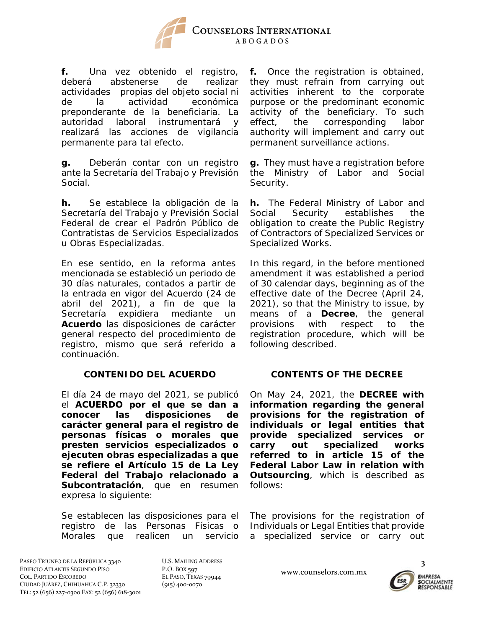

**f.** Una vez obtenido el registro, deberá abstenerse de realizar actividades propias del objeto social ni de la actividad económica preponderante de la beneficiaria. La autoridad laboral instrumentará y realizará las acciones de vigilancia permanente para tal efecto.

**g.** Deberán contar con un registro ante la Secretaría del Trabajo y Previsión Social.

**h.** Se establece la obligación de la Secretaría del Trabajo y Previsión Social Federal de crear el Padrón Público de Contratistas de Servicios Especializados u Obras Especializadas.

En ese sentido, en la reforma antes mencionada se estableció un periodo de 30 días naturales, contados a partir de la entrada en vigor del Acuerdo (24 de abril del 2021), a fin de que la Secretaría expidiera mediante un **Acuerdo** las disposiciones de carácter general respecto del procedimiento de registro, mismo que será referido a continuación.

### **CONTENIDO DEL ACUERDO CONTENTS OF THE DECREE**

El día 24 de mayo del 2021, se publicó el **ACUERDO por el que se dan a conocer las disposiciones de carácter general para el registro de personas físicas o morales que presten servicios especializados o ejecuten obras especializadas a que se refiere el Artículo 15 de La Ley Federal del Trabajo relacionado a Subcontratación**, que en resumen expresa lo siguiente:

Se establecen las disposiciones para el registro de las Personas Físicas o Morales que realicen un servicio **f.** Once the registration is obtained, they must refrain from carrying out activities inherent to the corporate purpose or the predominant economic activity of the beneficiary. To such effect, the corresponding labor authority will implement and carry out permanent surveillance actions.

**g.** They must have a registration before the Ministry of Labor and Social Security.

**h.** The Federal Ministry of Labor and Social Security establishes the obligation to create the Public Registry of Contractors of Specialized Services or Specialized Works.

In this regard, in the before mentioned amendment it was established a period of 30 calendar days, beginning as of the effective date of the Decree (April 24, 2021), so that the Ministry to issue, by means of a **Decree**, the general provisions with respect to the registration procedure, which will be following described.

On May 24, 2021, the **DECREE with information regarding the general provisions for the registration of individuals or legal entities that provide specialized services or carry out specialized works referred to in article 15 of the Federal Labor Law in relation with Outsourcing**, which is described as follows:

The provisions for the registration of Individuals or Legal Entities that provide a specialized service or carry out

PASEO TRIUNFO DE LA REPÚBLICA 3340 EDIFICIO ATLANTIS SEGUNDO PISO COL. PARTIDO ESCOBEDO CIUDAD JUÁREZ, CHIHUAHUA C.P. 32330 TEL: 52 (656) 227‐0300 FAX: 52 (656) 618‐3001 U.S. MAILING ADDRESS P.O. BOX 597 EL PASO, TEXAS 79944 (915) 400‐0070



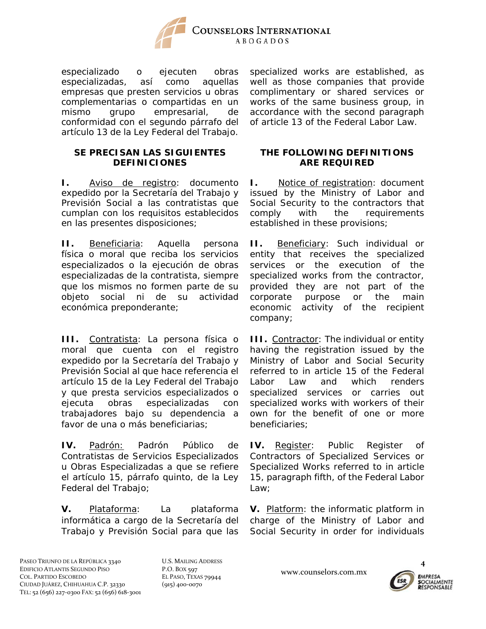

especializado o ejecuten obras especializadas, así como aquellas empresas que presten servicios u obras complementarias o compartidas en un mismo grupo empresarial, de conformidad con el segundo párrafo del artículo 13 de la Ley Federal del Trabajo.

### **SE PRECISAN LAS SIGUIENTES DEFINICIONES**

**I.** Aviso de registro: documento expedido por la Secretaría del Trabajo y Previsión Social a las contratistas que cumplan con los requisitos establecidos en las presentes disposiciones;

**II.** Beneficiaria: Aquella persona física o moral que reciba los servicios especializados o la ejecución de obras especializadas de la contratista, siempre que los mismos no formen parte de su objeto social ni de su actividad económica preponderante;

**III.** Contratista: La persona física o moral que cuenta con el registro expedido por la Secretaría del Trabajo y Previsión Social al que hace referencia el artículo 15 de la Ley Federal del Trabajo y que presta servicios especializados o ejecuta obras especializadas con trabajadores bajo su dependencia a favor de una o más beneficiarias;

**IV.** Padrón: Padrón Público de Contratistas de Servicios Especializados u Obras Especializadas a que se refiere el artículo 15, párrafo quinto, de la Ley Federal del Trabajo;

**V.** Plataforma: La plataforma informática a cargo de la Secretaría del Trabajo y Previsión Social para que las specialized works are established, as well as those companies that provide complimentary or shared services or works of the same business group, in accordance with the second paragraph of article 13 of the Federal Labor Law.

### **THE FOLLOWING DEFINITIONS ARE REQUIRED**

**I.** Notice of registration: document issued by the Ministry of Labor and Social Security to the contractors that comply with the requirements established in these provisions;

**II.** Beneficiary: Such individual or entity that receives the specialized services or the execution of the specialized works from the contractor, provided they are not part of the corporate purpose or the main economic activity of the recipient company;

**III.** Contractor: The individual or entity having the registration issued by the Ministry of Labor and Social Security referred to in article 15 of the Federal Labor Law and which renders specialized services or carries out specialized works with workers of their own for the benefit of one or more beneficiaries;

**IV.** Register: Public Register of Contractors of Specialized Services or Specialized Works referred to in article 15, paragraph fifth, of the Federal Labor Law;

**V.** Platform: the informatic platform in charge of the Ministry of Labor and Social Security in order for individuals

PASEO TRIUNFO DE LA REPÚBLICA 3340 EDIFICIO ATLANTIS SEGUNDO PISO COL. PARTIDO ESCOBEDO CIUDAD JUÁREZ, CHIHUAHUA C.P. 32330 TEL: 52 (656) 227‐0300 FAX: 52 (656) 618‐3001 U.S. MAILING ADDRESS P.O. BOX 597 EL PASO, TEXAS 79944 (915) 400‐0070

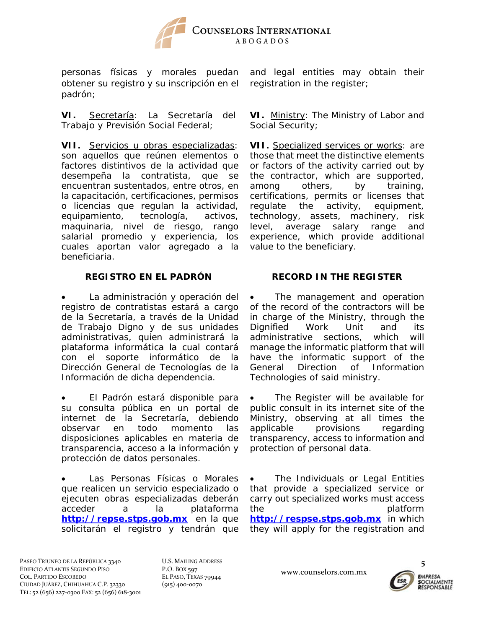

personas físicas y morales puedan obtener su registro y su inscripción en el padrón;

**VI.** Secretaría: La Secretaría del Trabajo y Previsión Social Federal;

**VII.** Servicios u obras especializadas: son aquellos que reúnen elementos o factores distintivos de la actividad que desempeña la contratista, que se encuentran sustentados, entre otros, en la capacitación, certificaciones, permisos o licencias que regulan la actividad, equipamiento, tecnología, activos, maquinaria, nivel de riesgo, rango salarial promedio y experiencia, los cuales aportan valor agregado a la beneficiaria.

 La administración y operación del registro de contratistas estará a cargo de la Secretaría, a través de la Unidad de Trabajo Digno y de sus unidades administrativas, quien administrará la plataforma informática la cual contará con el soporte informático de la Dirección General de Tecnologías de la Información de dicha dependencia.

 El Padrón estará disponible para su consulta pública en un portal de internet de la Secretaría, debiendo observar en todo momento las disposiciones aplicables en materia de transparencia, acceso a la información y protección de datos personales.

 Las Personas Físicas o Morales que realicen un servicio especializado o ejecuten obras especializadas deberán acceder a la plataforma **http://repse.stps.gob.mx** en la que solicitarán el registro y tendrán que

and legal entities may obtain their registration in the register;

**VI.** Ministry: The Ministry of Labor and Social Security;

**VII.** Specialized services or works: are those that meet the distinctive elements or factors of the activity carried out by the contractor, which are supported, among others, by training, certifications, permits or licenses that regulate the activity, equipment, technology, assets, machinery, risk level, average salary range and experience, which provide additional value to the beneficiary.

## **REGISTRO EN EL PADRÓN RECORD IN THE REGISTER**

 The management and operation of the record of the contractors will be in charge of the Ministry, through the Dignified Work Unit and its administrative sections, which will manage the informatic platform that will have the informatic support of the General Direction of Information Technologies of said ministry.

 The Register will be available for public consult in its internet site of the Ministry, observing at all times the applicable provisions regarding transparency, access to information and protection of personal data.

 The Individuals or Legal Entities that provide a specialized service or carry out specialized works must access the platform **http://respse.stps.gob.mx** in which they will apply for the registration and

PASEO TRIUNFO DE LA REPÚBLICA 3340 EDIFICIO ATLANTIS SEGUNDO PISO COL. PARTIDO ESCOBEDO CIUDAD JUÁREZ, CHIHUAHUA C.P. 32330 TEL: 52 (656) 227‐0300 FAX: 52 (656) 618‐3001 U.S. MAILING ADDRESS P.O. BOX 597 EL PASO, TEXAS 79944 (915) 400‐0070

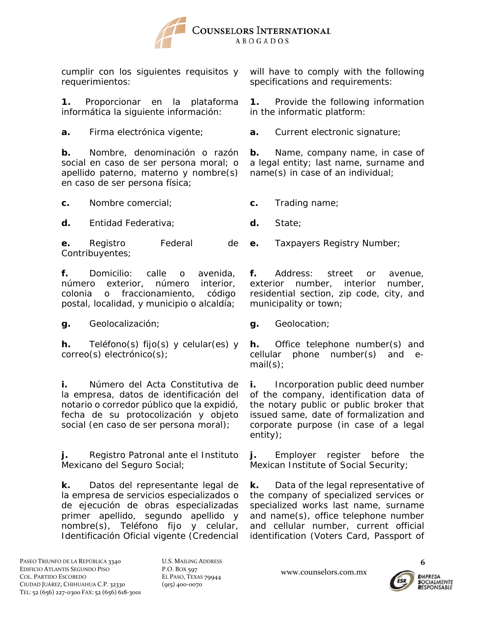

cumplir con los siguientes requisitos y requerimientos:

**1.** Proporcionar en la plataforma informática la siguiente información:

**b.** Nombre, denominación o razón social en caso de ser persona moral; o apellido paterno, materno y nombre(s) en caso de ser persona física;

**c.** Nombre comercial; **c.** Trading name;

**d.** Entidad Federativa; **d.** State;

**e.** Registro Federal de Contribuyentes;

**f.** Domicilio: calle o avenida, número exterior, número interior, colonia o fraccionamiento, código postal, localidad, y municipio o alcaldía;

**g.** Geolocalización; **g.** Geolocation;

**h.** Teléfono(s) fijo(s) y celular(es) y correo(s) electrónico(s);

**i.** Número del Acta Constitutiva de la empresa, datos de identificación del notario o corredor público que la expidió, fecha de su protocolización y objeto social (en caso de ser persona moral);

**j.** Registro Patronal ante el Instituto Mexicano del Seguro Social;

**k.** Datos del representante legal de la empresa de servicios especializados o de ejecución de obras especializadas primer apellido, segundo apellido y nombre(s), Teléfono fijo y celular, Identificación Oficial vigente (Credencial will have to comply with the following specifications and requirements:

**1.** Provide the following information in the informatic platform:

**a.** Firma electrónica vigente; **a.** Current electronic signature;

**b.** Name, company name, in case of a legal entity; last name, surname and name(s) in case of an individual;

**e.** Taxpayers Registry Number;

**f.** Address: street or avenue, exterior number, interior number, residential section, zip code, city, and municipality or town;

**h.** Office telephone number(s) and cellular phone number(s) and email(s);

**i.** Incorporation public deed number of the company, identification data of the notary public or public broker that issued same, date of formalization and corporate purpose (in case of a legal entity);

**j.** Employer register before the Mexican Institute of Social Security;

**k.** Data of the legal representative of the company of specialized services or specialized works last name, surname and name(s), office telephone number and cellular number, current official identification (Voters Card, Passport of

PASEO TRIUNFO DE LA REPÚBLICA 3340 EDIFICIO ATLANTIS SEGUNDO PISO COL. PARTIDO ESCOBEDO CIUDAD JUÁREZ, CHIHUAHUA C.P. 32330 TEL: 52 (656) 227‐0300 FAX: 52 (656) 618‐3001 U.S. MAILING ADDRESS P.O. BOX 597 EL PASO, TEXAS 79944 (915) 400‐0070

www.counselors.com.mx



**6**

**EMPRESA**<br>SOCIALMENTE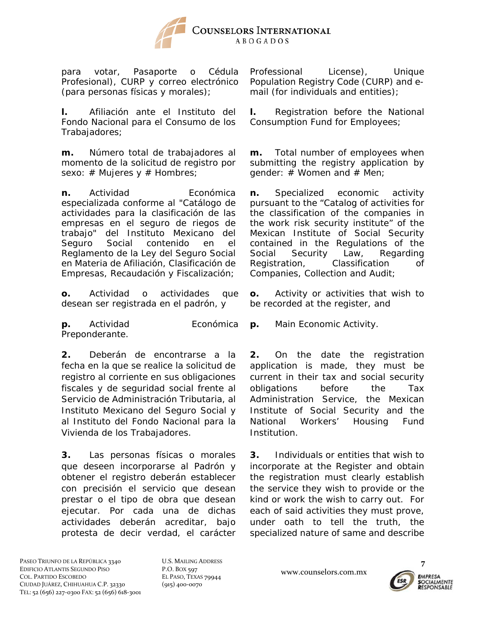

para votar, Pasaporte o Cédula Profesional), CURP y correo electrónico (para personas físicas y morales);

**l.** Afiliación ante el Instituto del Fondo Nacional para el Consumo de los Trabajadores;

**m.** Número total de trabajadores al momento de la solicitud de registro por sexo:  $#$  Mujeres  $y \#$  Hombres;

**n.** Actividad **Económica** especializada conforme al "Catálogo de actividades para la clasificación de las empresas en el seguro de riegos de trabajo" del Instituto Mexicano del Seguro Social contenido en el Reglamento de la Ley del Seguro Social en Materia de Afiliación, Clasificación de Empresas, Recaudación y Fiscalización;

**o.** Actividad o actividades que desean ser registrada en el padrón, y

**p.** Actividad **Económica** Preponderante.

**2.** Deberán de encontrarse a la fecha en la que se realice la solicitud de registro al corriente en sus obligaciones fiscales y de seguridad social frente al Servicio de Administración Tributaria, al Instituto Mexicano del Seguro Social y al Instituto del Fondo Nacional para la Vivienda de los Trabajadores.

**3.** Las personas físicas o morales que deseen incorporarse al Padrón y obtener el registro deberán establecer con precisión el servicio que desean prestar o el tipo de obra que desean ejecutar. Por cada una de dichas actividades deberán acreditar, bajo protesta de decir verdad, el carácter

Professional License), Unique Population Registry Code (*CURP*) and email (for individuals and entities);

**l.** Registration before the National Consumption Fund for Employees;

**m.** Total number of employees when submitting the registry application by gender:  $#$  Women and  $#$  Men;

**n.** Specialized economic activity pursuant to the "Catalog of activities for the classification of the companies in the work risk security institute" of the Mexican Institute of Social Security contained in the Regulations of the Social Security Law, Regarding Registration, Classification of Companies, Collection and Audit;

**o.** Activity or activities that wish to be recorded at the register, and

**p.** Main Economic Activity.

**2.** On the date the registration application is made, they must be current in their tax and social security obligations before the Tax Administration Service, the Mexican Institute of Social Security and the National Workers' Housing Fund Institution.

**3.** Individuals or entities that wish to incorporate at the Register and obtain the registration must clearly establish the service they wish to provide or the kind or work the wish to carry out. For each of said activities they must prove, under oath to tell the truth, the specialized nature of same and describe

PASEO TRIUNFO DE LA REPÚBLICA 3340 EDIFICIO ATLANTIS SEGUNDO PISO COL. PARTIDO ESCOBEDO CIUDAD JUÁREZ, CHIHUAHUA C.P. 32330 TEL: 52 (656) 227‐0300 FAX: 52 (656) 618‐3001 U.S. MAILING ADDRESS P.O. BOX 597 EL PASO, TEXAS 79944 (915) 400‐0070

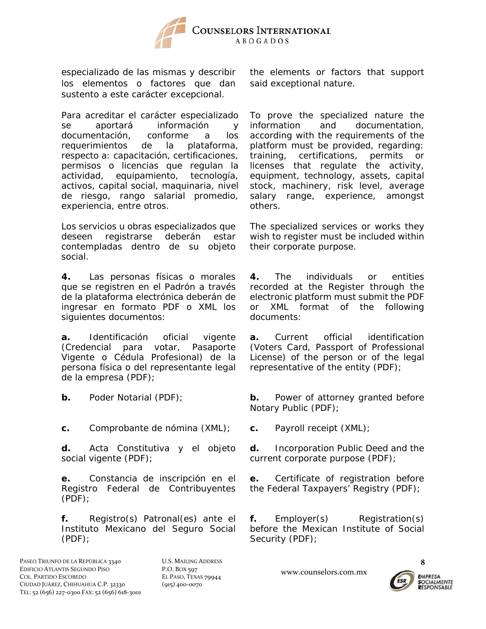

especializado de las mismas y describir los elementos o factores que dan sustento a este carácter excepcional.

Para acreditar el carácter especializado se aportará información y documentación, conforme a los requerimientos de la plataforma, respecto a: capacitación, certificaciones, permisos o licencias que regulan la actividad, equipamiento, tecnología, activos, capital social, maquinaria, nivel de riesgo, rango salarial promedio, experiencia, entre otros.

Los servicios u obras especializados que deseen registrarse deberán estar contempladas dentro de su objeto social.

**4.** Las personas físicas o morales que se registren en el Padrón a través de la plataforma electrónica deberán de ingresar en formato PDF o XML los siguientes documentos:

**a.** Identificación oficial vigente (Credencial para votar, Pasaporte Vigente o Cédula Profesional) de la persona física o del representante legal de la empresa (PDF);

**c.** Comprobante de nómina (XML); **c.** Payroll receipt (XML);

**d.** Acta Constitutiva y el objeto social vigente (PDF);

**e.** Constancia de inscripción en el Registro Federal de Contribuyentes (PDF);

**f.** Registro(s) Patronal(es) ante el Instituto Mexicano del Seguro Social (PDF);

U.S. MAILING ADDRESS P.O. BOX 597 EL PASO, TEXAS 79944 (915) 400‐0070

the elements or factors that support said exceptional nature.

To prove the specialized nature the information and documentation, according with the requirements of the platform must be provided, regarding: training, certifications, permits or licenses that regulate the activity, equipment, technology, assets, capital stock, machinery, risk level, average salary range, experience, amongst others.

The specialized services or works they wish to register must be included within their corporate purpose.

**4.** The individuals or entities recorded at the Register through the electronic platform must submit the PDF or XML format of the following documents:

**a.** Current official identification (Voters Card, Passport of Professional License) of the person or of the legal representative of the entity (PDF);

**b.** Poder Notarial (PDF); **b.** Power of attorney granted before Notary Public (PDF);

**d.** Incorporation Public Deed and the current corporate purpose (PDF);

**e.** Certificate of registration before the Federal Taxpayers' Registry (PDF);

**f.** Employer(s) Registration(s) before the Mexican Institute of Social Security (PDF);

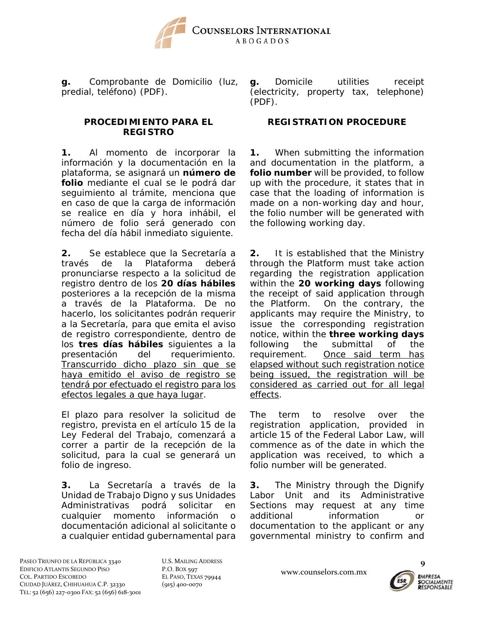

**g.** Comprobante de Domicilio (luz, predial, teléfono) (PDF).

### **PROCEDIMIENTO PARA EL REGISTRO**

**1.** Al momento de incorporar la información y la documentación en la plataforma, se asignará un **número de folio** mediante el cual se le podrá dar seguimiento al trámite, menciona que en caso de que la carga de información se realice en día y hora inhábil, el número de folio será generado con fecha del día hábil inmediato siguiente.

**2.** Se establece que la Secretaría a través de la Plataforma deberá pronunciarse respecto a la solicitud de registro dentro de los **20 días hábiles** posteriores a la recepción de la misma a través de la Plataforma. De no hacerlo, los solicitantes podrán requerir a la Secretaría, para que emita el aviso de registro correspondiente, dentro de los **tres días hábiles** siguientes a la presentación del requerimiento. Transcurrido dicho plazo sin que se haya emitido el aviso de registro se tendrá por efectuado el registro para los efectos legales a que haya lugar.

El plazo para resolver la solicitud de registro, prevista en el artículo 15 de la Ley Federal del Trabajo, comenzará a correr a partir de la recepción de la solicitud, para la cual se generará un folio de ingreso.

**3.** La Secretaría a través de la Unidad de Trabajo Digno y sus Unidades Administrativas podrá solicitar en cualquier momento información o documentación adicional al solicitante o a cualquier entidad gubernamental para **g.** Domicile utilities receipt (electricity, property tax, telephone) (PDF).

### **REGISTRATION PROCEDURE**

**1.** When submitting the information and documentation in the platform, a **folio number** will be provided, to follow up with the procedure, it states that in case that the loading of information is made on a non-working day and hour, the folio number will be generated with the following working day.

**2.** It is established that the Ministry through the Platform must take action regarding the registration application within the **20 working days** following the receipt of said application through the Platform. On the contrary, the applicants may require the Ministry, to issue the corresponding registration notice, within the **three working days** following the submittal of the requirement. Once said term has elapsed without such registration notice being issued, the registration will be considered as carried out for all legal effects.

The term to resolve over the registration application, provided in article 15 of the Federal Labor Law, will commence as of the date in which the application was received, to which a folio number will be generated.

**3.** The Ministry through the Dignify Labor Unit and its Administrative Sections may request at any time additional information or documentation to the applicant or any governmental ministry to confirm and

PASEO TRIUNFO DE LA REPÚBLICA 3340 EDIFICIO ATLANTIS SEGUNDO PISO COL. PARTIDO ESCOBEDO CIUDAD JUÁREZ, CHIHUAHUA C.P. 32330 TEL: 52 (656) 227‐0300 FAX: 52 (656) 618‐3001 U.S. MAILING ADDRESS P.O. BOX 597 EL PASO, TEXAS 79944 (915) 400‐0070

www.counselors.com.mx

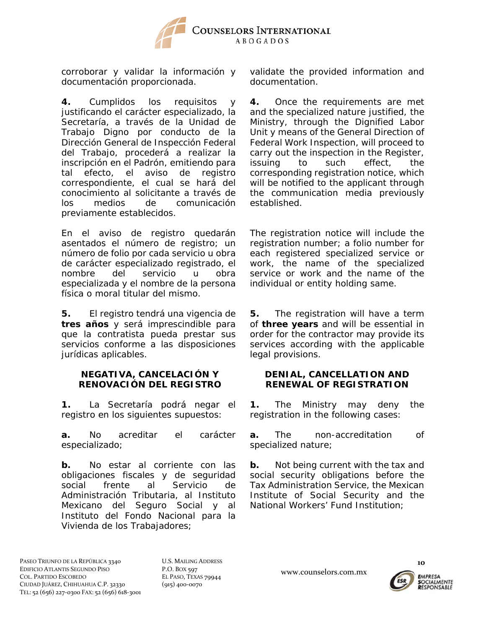

corroborar y validar la información y documentación proporcionada.

**4.** Cumplidos los requisitos y justificando el carácter especializado, la Secretaría, a través de la Unidad de Trabajo Digno por conducto de la Dirección General de Inspección Federal del Trabajo, procederá a realizar la inscripción en el Padrón, emitiendo para tal efecto, el aviso de registro correspondiente, el cual se hará del conocimiento al solicitante a través de los medios de comunicación previamente establecidos.

En el aviso de registro quedarán asentados el número de registro; un número de folio por cada servicio u obra de carácter especializado registrado, el nombre del servicio u obra especializada y el nombre de la persona física o moral titular del mismo.

**5.** El registro tendrá una vigencia de **tres años** y será imprescindible para que la contratista pueda prestar sus servicios conforme a las disposiciones jurídicas aplicables.

### **NEGATIVA, CANCELACIÓN Y RENOVACIÓN DEL REGISTRO**

**1.** La Secretaría podrá negar el registro en los siguientes supuestos:

**a.** No acreditar el carácter especializado;

**b.** No estar al corriente con las obligaciones fiscales y de seguridad social frente al Servicio de Administración Tributaria, al Instituto Mexicano del Seguro Social y al Instituto del Fondo Nacional para la Vivienda de los Trabajadores;

validate the provided information and documentation.

**4.** Once the requirements are met and the specialized nature justified, the Ministry, through the Dignified Labor Unit y means of the General Direction of Federal Work Inspection, will proceed to carry out the inspection in the Register, issuing to such effect, the corresponding registration notice, which will be notified to the applicant through the communication media previously established.

The registration notice will include the registration number; a folio number for each registered specialized service or work, the name of the specialized service or work and the name of the individual or entity holding same.

**5.** The registration will have a term of **three years** and will be essential in order for the contractor may provide its services according with the applicable legal provisions.

## **DENIAL, CANCELLATION AND RENEWAL OF REGISTRATION**

**1.** The Ministry may deny the registration in the following cases:

**a.** The non-accreditation of specialized nature;

**b.** Not being current with the tax and social security obligations before the Tax Administration Service, the Mexican Institute of Social Security and the National Workers' Fund Institution;

U.S. MAILING ADDRESS P.O. BOX 597 EL PASO, TEXAS 79944 (915) 400‐0070

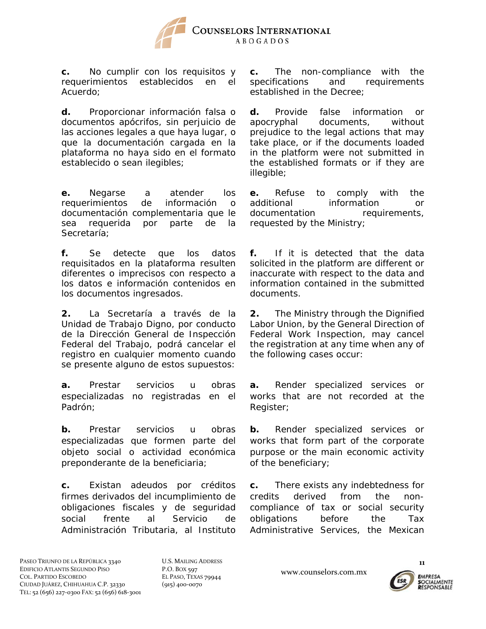

**c.** No cumplir con los requisitos y requerimientos establecidos en el Acuerdo;

**d.** Proporcionar información falsa o documentos apócrifos, sin perjuicio de las acciones legales a que haya lugar, o que la documentación cargada en la plataforma no haya sido en el formato establecido o sean ilegibles;

**e.** Negarse a atender los requerimientos de información o documentación complementaria que le sea requerida por parte de la Secretaría;

**f.** Se detecte que los datos requisitados en la plataforma resulten diferentes o imprecisos con respecto a los datos e información contenidos en los documentos ingresados.

**2.** La Secretaría a través de la Unidad de Trabajo Digno, por conducto de la Dirección General de Inspección Federal del Trabajo, podrá cancelar el registro en cualquier momento cuando se presente alguno de estos supuestos:

**a.** Prestar servicios u obras especializadas no registradas en el Padrón;

**b.** Prestar servicios u obras especializadas que formen parte del objeto social o actividad económica preponderante de la beneficiaria;

**c.** Existan adeudos por créditos firmes derivados del incumplimiento de obligaciones fiscales y de seguridad social frente al Servicio de Administración Tributaria, al Instituto **c.** The non-compliance with the specifications and requirements established in the Decree;

**d.** Provide false information or apocryphal documents, without prejudice to the legal actions that may take place, or if the documents loaded in the platform were not submitted in the established formats or if they are illegible;

**e.** Refuse to comply with the additional information or documentation requirements, requested by the Ministry;

**f.** If it is detected that the data solicited in the platform are different or inaccurate with respect to the data and information contained in the submitted documents.

**2.** The Ministry through the Dignified Labor Union, by the General Direction of Federal Work Inspection, may cancel the registration at any time when any of the following cases occur:

**a.** Render specialized services or works that are not recorded at the Register;

**b.** Render specialized services or works that form part of the corporate purpose or the main economic activity of the beneficiary;

**c.** There exists any indebtedness for credits derived from the noncompliance of tax or social security obligations before the Tax Administrative Services, the Mexican

www.counselors.com.mx

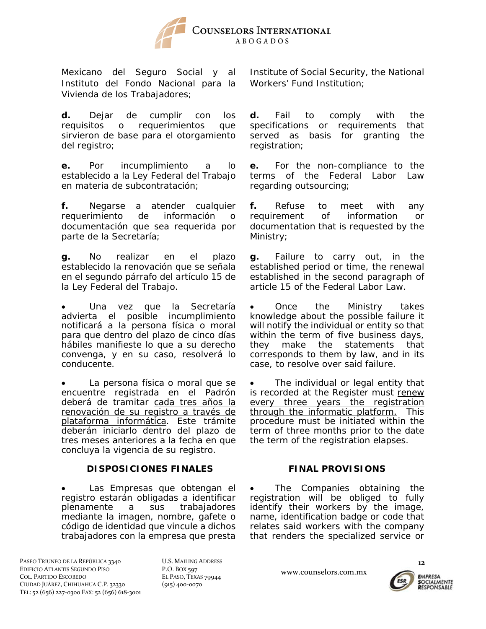

Mexicano del Seguro Social y al Instituto del Fondo Nacional para la Vivienda de los Trabajadores;

**d.** Dejar de cumplir con los requisitos o requerimientos que sirvieron de base para el otorgamiento del registro;

**e.** Por incumplimiento a lo establecido a la Ley Federal del Trabajo en materia de subcontratación;

**f.** Negarse a atender cualquier requerimiento de información o documentación que sea requerida por parte de la Secretaría;

**g.** No realizar en el plazo establecido la renovación que se señala en el segundo párrafo del artículo 15 de la Ley Federal del Trabajo.

 Una vez que la Secretaría advierta el posible incumplimiento notificará a la persona física o moral para que dentro del plazo de cinco días hábiles manifieste lo que a su derecho convenga, y en su caso, resolverá lo conducente.

• La persona física o moral que se encuentre registrada en el Padrón deberá de tramitar cada tres años la renovación de su registro a través de plataforma informática. Este trámite deberán iniciarlo dentro del plazo de tres meses anteriores a la fecha en que concluya la vigencia de su registro.

# **DISPOSICIONES FINALES FINAL PROVISIONS**

 Las Empresas que obtengan el registro estarán obligadas a identificar plenamente a sus trabajadores mediante la imagen, nombre, gafete o código de identidad que vincule a dichos trabajadores con la empresa que presta Institute of Social Security, the National Workers' Fund Institution;

**d.** Fail to comply with the specifications or requirements that served as basis for granting the registration;

**e.** For the non-compliance to the terms of the Federal Labor Law regarding outsourcing;

**f.** Refuse to meet with any requirement of information or documentation that is requested by the Ministry;

**g.** Failure to carry out, in the established period or time, the renewal established in the second paragraph of article 15 of the Federal Labor Law.

 Once the Ministry takes knowledge about the possible failure it will notify the individual or entity so that within the term of five business days, they make the statements that corresponds to them by law, and in its case, to resolve over said failure.

 The individual or legal entity that is recorded at the Register must renew every three years the registration through the informatic platform. This procedure must be initiated within the term of three months prior to the date the term of the registration elapses.

 The Companies obtaining the registration will be obliged to fully identify their workers by the image, name, identification badge or code that relates said workers with the company that renders the specialized service or

PASEO TRIUNFO DE LA REPÚBLICA 3340 EDIFICIO ATLANTIS SEGUNDO PISO COL. PARTIDO ESCOBEDO CIUDAD JUÁREZ, CHIHUAHUA C.P. 32330 TEL: 52 (656) 227‐0300 FAX: 52 (656) 618‐3001 U.S. MAILING ADDRESS P.O. BOX 597 EL PASO, TEXAS 79944 (915) 400‐0070

www.counselors.com.mx